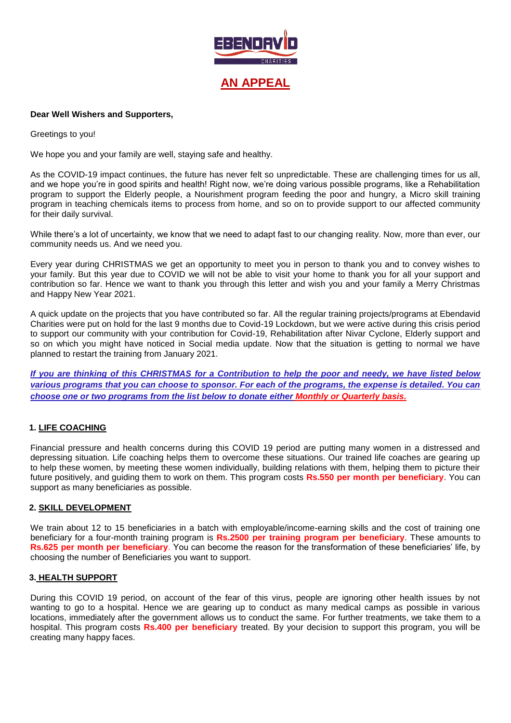

### **Dear Well Wishers and Supporters,**

Greetings to you!

We hope you and your family are well, staying safe and healthy.

As the COVID-19 impact continues, the future has never felt so unpredictable. These are challenging times for us all, and we hope you're in good spirits and health! Right now, we're doing various possible programs, like a Rehabilitation program to support the Elderly people, a Nourishment program feeding the poor and hungry, a Micro skill training program in teaching chemicals items to process from home, and so on to provide support to our affected community for their daily survival.

While there's a lot of uncertainty, we know that we need to adapt fast to our changing reality. Now, more than ever, our community needs us. And we need you.

Every year during CHRISTMAS we get an opportunity to meet you in person to thank you and to convey wishes to your family. But this year due to COVID we will not be able to visit your home to thank you for all your support and contribution so far. Hence we want to thank you through this letter and wish you and your family a Merry Christmas and Happy New Year 2021.

A quick update on the projects that you have contributed so far. All the regular training projects/programs at Ebendavid Charities were put on hold for the last 9 months due to Covid-19 Lockdown, but we were active during this crisis period to support our community with your contribution for Covid-19, Rehabilitation after Nivar Cyclone, Elderly support and so on which you might have noticed in Social media update. Now that the situation is getting to normal we have planned to restart the training from January 2021.

*If you are thinking of this CHRISTMAS for a Contribution to help the poor and needy, we have listed below various programs that you can choose to sponsor. For each of the programs, the expense is detailed. You can choose one or two programs from the list below to donate either Monthly or Quarterly basis.*

# **1. LIFE COACHING**

Financial pressure and health concerns during this COVID 19 period are putting many women in a distressed and depressing situation. Life coaching helps them to overcome these situations. Our trained life coaches are gearing up to help these women, by meeting these women individually, building relations with them, helping them to picture their future positively, and guiding them to work on them. This program costs **Rs.550 per month per beneficiary**. You can support as many beneficiaries as possible.

#### **2. SKILL DEVELOPMENT**

We train about 12 to 15 beneficiaries in a batch with employable/income-earning skills and the cost of training one beneficiary for a four-month training program is **Rs.2500 per training program per beneficiary**. These amounts to **Rs.625 per month per beneficiary**. You can become the reason for the transformation of these beneficiaries' life, by choosing the number of Beneficiaries you want to support.

#### **3. HEALTH SUPPORT**

During this COVID 19 period, on account of the fear of this virus, people are ignoring other health issues by not wanting to go to a hospital. Hence we are gearing up to conduct as many medical camps as possible in various locations, immediately after the government allows us to conduct the same. For further treatments, we take them to a hospital. This program costs **Rs.400 per beneficiary** treated. By your decision to support this program, you will be creating many happy faces.